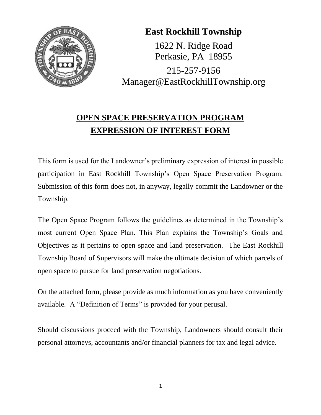

# **East Rockhill Township**

1622 N. Ridge Road Perkasie, PA 18955 215-257-9156 Manager@EastRockhillTownship.org

# **OPEN SPACE PRESERVATION PROGRAM EXPRESSION OF INTEREST FORM**

This form is used for the Landowner's preliminary expression of interest in possible participation in East Rockhill Township's Open Space Preservation Program. Submission of this form does not, in anyway, legally commit the Landowner or the Township.

The Open Space Program follows the guidelines as determined in the Township's most current Open Space Plan. This Plan explains the Township's Goals and Objectives as it pertains to open space and land preservation. The East Rockhill Township Board of Supervisors will make the ultimate decision of which parcels of open space to pursue for land preservation negotiations.

On the attached form, please provide as much information as you have conveniently available. A "Definition of Terms" is provided for your perusal.

Should discussions proceed with the Township, Landowners should consult their personal attorneys, accountants and/or financial planners for tax and legal advice.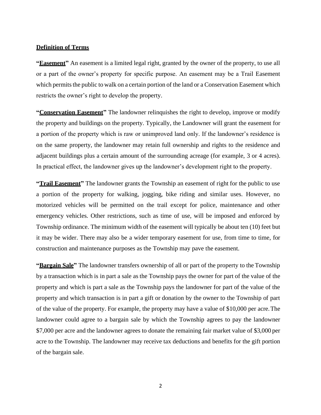#### **Definition of Terms**

**"Easement"** An easement is a limited legal right, granted by the owner of the property, to use all or a part of the owner's property for specific purpose. An easement may be a Trail Easement which permits the public to walk on a certain portion of the land or a Conservation Easement which restricts the owner's right to develop the property.

**"Conservation Easement"** The landowner relinquishes the right to develop, improve or modify the property and buildings on the property. Typically, the Landowner will grant the easement for a portion of the property which is raw or unimproved land only. If the landowner's residence is on the same property, the landowner may retain full ownership and rights to the residence and adjacent buildings plus a certain amount of the surrounding acreage (for example, 3 or 4 acres). In practical effect, the landowner gives up the landowner's development right to the property.

**"Trail Easement"** The landowner grants the Township an easement of right for the public to use a portion of the property for walking, jogging, bike riding and similar uses. However, no motorized vehicles will be permitted on the trail except for police, maintenance and other emergency vehicles. Other restrictions, such as time of use, will be imposed and enforced by Township ordinance. The minimum width of the easement will typically be about ten (10) feet but it may be wider. There may also be a wider temporary easement for use, from time to time, for construction and maintenance purposes as the Township may pave the easement.

**"Bargain Sale"** The landowner transfers ownership of all or part of the property to the Township by a transaction which is in part a sale as the Township pays the owner for part of the value of the property and which is part a sale as the Township pays the landowner for part of the value of the property and which transaction is in part a gift or donation by the owner to the Township of part of the value of the property. For example, the property may have a value of \$10,000 per acre.The landowner could agree to a bargain sale by which the Township agrees to pay the landowner \$7,000 per acre and the landowner agrees to donate the remaining fair market value of \$3,000 per acre to the Township. The landowner may receive tax deductions and benefits for the gift portion of the bargain sale.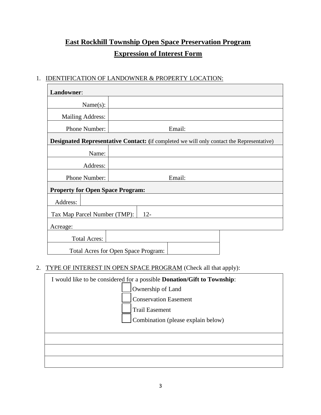## **East Rockhill Township Open Space Preservation Program Expression of Interest Form**

### 1. IDENTIFICATION OF LANDOWNER & PROPERTY LOCATION:

| Landowner:                                                                                |                                     |  |
|-------------------------------------------------------------------------------------------|-------------------------------------|--|
| Name $(s)$ :                                                                              |                                     |  |
| Mailing Address:                                                                          |                                     |  |
| Phone Number:                                                                             | Email:                              |  |
| Designated Representative Contact: (if completed we will only contact the Representative) |                                     |  |
| Name:                                                                                     |                                     |  |
| Address:                                                                                  |                                     |  |
| Phone Number:                                                                             | Email:                              |  |
| <b>Property for Open Space Program:</b>                                                   |                                     |  |
| Address:                                                                                  |                                     |  |
| $12 -$<br>Tax Map Parcel Number (TMP):                                                    |                                     |  |
| Acreage:                                                                                  |                                     |  |
| <b>Total Acres:</b>                                                                       |                                     |  |
|                                                                                           | Total Acres for Open Space Program: |  |

### 2. TYPE OF INTEREST IN OPEN SPACE PROGRAM (Check all that apply):

| I would like to be considered for a possible <b>Donation/Gift to Township</b> :                                  |  |  |
|------------------------------------------------------------------------------------------------------------------|--|--|
| Ownership of Land<br><b>Conservation Easement</b><br><b>Trail Easement</b><br>Combination (please explain below) |  |  |
|                                                                                                                  |  |  |
|                                                                                                                  |  |  |